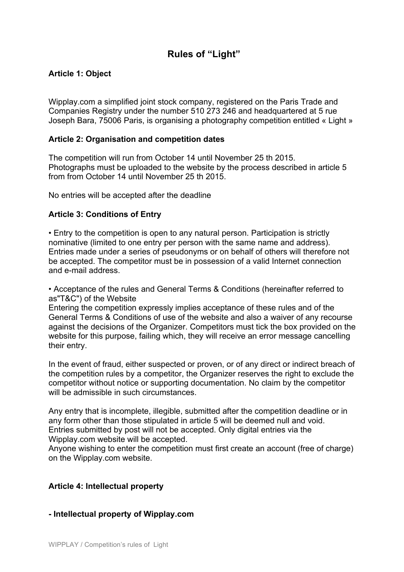# **Rules of "Light"**

# **Article 1: Object**

Wipplay.com a simplified joint stock company, registered on the Paris Trade and Companies Registry under the number 510 273 246 and headquartered at 5 rue Joseph Bara, 75006 Paris, is organising a photography competition entitled « Light »

### **Article 2: Organisation and competition dates**

The competition will run from October 14 until November 25 th 2015. Photographs must be uploaded to the website by the process described in article 5 from from October 14 until November 25 th 2015.

No entries will be accepted after the deadline

### **Article 3: Conditions of Entry**

• Entry to the competition is open to any natural person. Participation is strictly nominative (limited to one entry per person with the same name and address). Entries made under a series of pseudonyms or on behalf of others will therefore not be accepted. The competitor must be in possession of a valid Internet connection and e-mail address.

• Acceptance of the rules and General Terms & Conditions (hereinafter referred to as"T&C") of the Website

Entering the competition expressly implies acceptance of these rules and of the General Terms & Conditions of use of the website and also a waiver of any recourse against the decisions of the Organizer. Competitors must tick the box provided on the website for this purpose, failing which, they will receive an error message cancelling their entry.

In the event of fraud, either suspected or proven, or of any direct or indirect breach of the competition rules by a competitor, the Organizer reserves the right to exclude the competitor without notice or supporting documentation. No claim by the competitor will be admissible in such circumstances.

Any entry that is incomplete, illegible, submitted after the competition deadline or in any form other than those stipulated in article 5 will be deemed null and void. Entries submitted by post will not be accepted. Only digital entries via the Wipplay.com website will be accepted.

Anyone wishing to enter the competition must first create an account (free of charge) on the Wipplay.com website.

#### **Article 4: Intellectual property**

#### **- Intellectual property of Wipplay.com**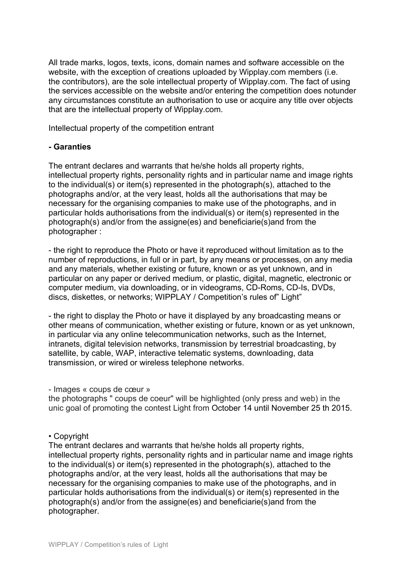All trade marks, logos, texts, icons, domain names and software accessible on the website, with the exception of creations uploaded by Wipplay.com members (i.e. the contributors), are the sole intellectual property of Wipplay.com. The fact of using the services accessible on the website and/or entering the competition does notunder any circumstances constitute an authorisation to use or acquire any title over objects that are the intellectual property of Wipplay.com.

Intellectual property of the competition entrant

# **- Garanties**

The entrant declares and warrants that he/she holds all property rights, intellectual property rights, personality rights and in particular name and image rights to the individual(s) or item(s) represented in the photograph(s), attached to the photographs and/or, at the very least, holds all the authorisations that may be necessary for the organising companies to make use of the photographs, and in particular holds authorisations from the individual(s) or item(s) represented in the photograph(s) and/or from the assigne(es) and beneficiarie(s)and from the photographer :

- the right to reproduce the Photo or have it reproduced without limitation as to the number of reproductions, in full or in part, by any means or processes, on any media and any materials, whether existing or future, known or as yet unknown, and in particular on any paper or derived medium, or plastic, digital, magnetic, electronic or computer medium, via downloading, or in videograms, CD-Roms, CD-Is, DVDs, discs, diskettes, or networks; WIPPLAY / Competition's rules of" Light"

- the right to display the Photo or have it displayed by any broadcasting means or other means of communication, whether existing or future, known or as yet unknown, in particular via any online telecommunication networks, such as the Internet, intranets, digital television networks, transmission by terrestrial broadcasting, by satellite, by cable, WAP, interactive telematic systems, downloading, data transmission, or wired or wireless telephone networks.

#### - Images « coups de cœur »

the photographs " coups de coeur" will be highlighted (only press and web) in the unic goal of promoting the contest Light from October 14 until November 25 th 2015.

# • Copyright

The entrant declares and warrants that he/she holds all property rights, intellectual property rights, personality rights and in particular name and image rights to the individual(s) or item(s) represented in the photograph(s), attached to the photographs and/or, at the very least, holds all the authorisations that may be necessary for the organising companies to make use of the photographs, and in particular holds authorisations from the individual(s) or item(s) represented in the photograph(s) and/or from the assigne(es) and beneficiarie(s)and from the photographer.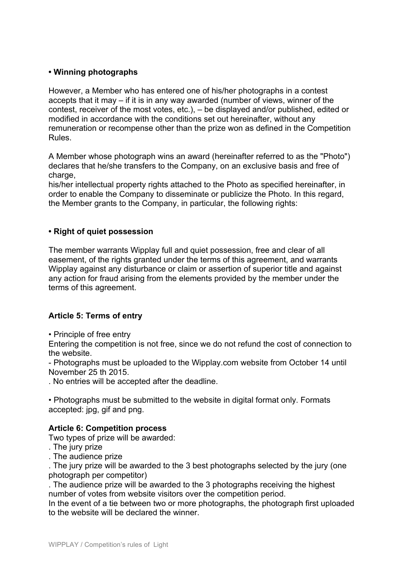# **• Winning photographs**

However, a Member who has entered one of his/her photographs in a contest accepts that it may – if it is in any way awarded (number of views, winner of the contest, receiver of the most votes, etc.), – be displayed and/or published, edited or modified in accordance with the conditions set out hereinafter, without any remuneration or recompense other than the prize won as defined in the Competition Rules.

A Member whose photograph wins an award (hereinafter referred to as the "Photo") declares that he/she transfers to the Company, on an exclusive basis and free of charge.

his/her intellectual property rights attached to the Photo as specified hereinafter, in order to enable the Company to disseminate or publicize the Photo. In this regard, the Member grants to the Company, in particular, the following rights:

# **• Right of quiet possession**

The member warrants Wipplay full and quiet possession, free and clear of all easement, of the rights granted under the terms of this agreement, and warrants Wipplay against any disturbance or claim or assertion of superior title and against any action for fraud arising from the elements provided by the member under the terms of this agreement.

# **Article 5: Terms of entry**

• Principle of free entry

Entering the competition is not free, since we do not refund the cost of connection to the website.

- Photographs must be uploaded to the Wipplay.com website from October 14 until November 25 th 2015.

. No entries will be accepted after the deadline.

• Photographs must be submitted to the website in digital format only. Formats accepted: jpg, gif and png.

# **Article 6: Competition process**

Two types of prize will be awarded:

- . The jury prize
- . The audience prize

. The jury prize will be awarded to the 3 best photographs selected by the jury (one photograph per competitor)

. The audience prize will be awarded to the 3 photographs receiving the highest number of votes from website visitors over the competition period.

In the event of a tie between two or more photographs, the photograph first uploaded to the website will be declared the winner.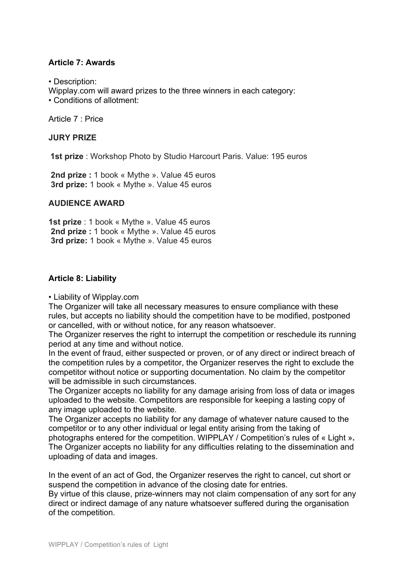# **Article 7: Awards**

• Description:

Wipplay.com will award prizes to the three winners in each category:

• Conditions of allotment:

Article 7 : Price

# **JURY PRIZE**

**1st prize** : Workshop Photo by Studio Harcourt Paris. Value: 195 euros

**2nd prize :** 1 book « Mythe ». Value 45 euros **3rd prize:** 1 book « Mythe ». Value 45 euros

# **AUDIENCE AWARD**

**1st prize** : 1 book « Mythe ». Value 45 euros **2nd prize :** 1 book « Mythe ». Value 45 euros **3rd prize:** 1 book « Mythe ». Value 45 euros

# **Article 8: Liability**

# • Liability of Wipplay.com

The Organizer will take all necessary measures to ensure compliance with these rules, but accepts no liability should the competition have to be modified, postponed or cancelled, with or without notice, for any reason whatsoever.

The Organizer reserves the right to interrupt the competition or reschedule its running period at any time and without notice.

In the event of fraud, either suspected or proven, or of any direct or indirect breach of the competition rules by a competitor, the Organizer reserves the right to exclude the competitor without notice or supporting documentation. No claim by the competitor will be admissible in such circumstances.

The Organizer accepts no liability for any damage arising from loss of data or images uploaded to the website. Competitors are responsible for keeping a lasting copy of any image uploaded to the website.

The Organizer accepts no liability for any damage of whatever nature caused to the competitor or to any other individual or legal entity arising from the taking of photographs entered for the competition. WIPPLAY / Competition's rules of « Light »**.** The Organizer accepts no liability for any difficulties relating to the dissemination and uploading of data and images.

In the event of an act of God, the Organizer reserves the right to cancel, cut short or suspend the competition in advance of the closing date for entries.

By virtue of this clause, prize-winners may not claim compensation of any sort for any direct or indirect damage of any nature whatsoever suffered during the organisation of the competition.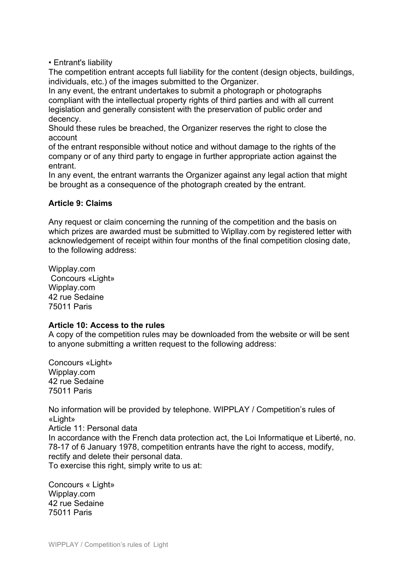• Entrant's liability

The competition entrant accepts full liability for the content (design objects, buildings, individuals, etc.) of the images submitted to the Organizer.

In any event, the entrant undertakes to submit a photograph or photographs compliant with the intellectual property rights of third parties and with all current legislation and generally consistent with the preservation of public order and decency.

Should these rules be breached, the Organizer reserves the right to close the account

of the entrant responsible without notice and without damage to the rights of the company or of any third party to engage in further appropriate action against the entrant.

In any event, the entrant warrants the Organizer against any legal action that might be brought as a consequence of the photograph created by the entrant.

# **Article 9: Claims**

Any request or claim concerning the running of the competition and the basis on which prizes are awarded must be submitted to Wipllay.com by registered letter with acknowledgement of receipt within four months of the final competition closing date, to the following address:

Wipplay.com Concours «Light» Wipplay.com 42 rue Sedaine 75011 Paris

#### **Article 10: Access to the rules**

A copy of the competition rules may be downloaded from the website or will be sent to anyone submitting a written request to the following address:

Concours «Light» Wipplay.com 42 rue Sedaine 75011 Paris

No information will be provided by telephone. WIPPLAY / Competition's rules of «Light» Article 11: Personal data In accordance with the French data protection act, the Loi Informatique et Liberté, no. 78-17 of 6 January 1978, competition entrants have the right to access, modify, rectify and delete their personal data. To exercise this right, simply write to us at:

Concours « Light» Wipplay.com 42 rue Sedaine 75011 Paris